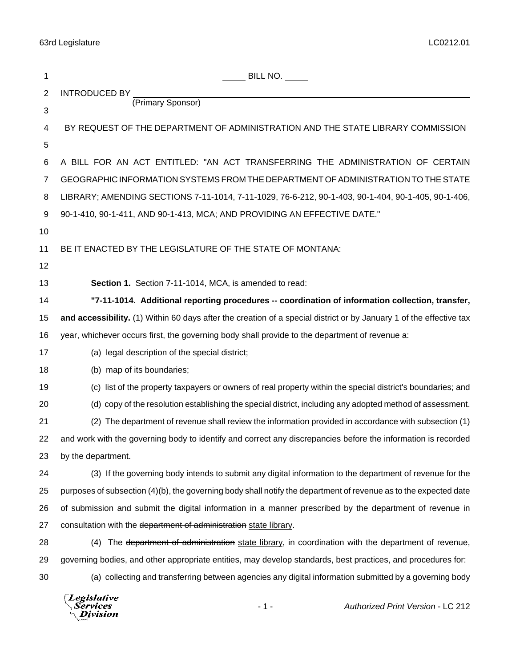| 1              | $\_$ BILL NO. $\_$                                                                                                  |
|----------------|---------------------------------------------------------------------------------------------------------------------|
| $\overline{2}$ | INTRODUCED BY                                                                                                       |
| 3              | (Primary Sponsor)                                                                                                   |
| 4              | BY REQUEST OF THE DEPARTMENT OF ADMINISTRATION AND THE STATE LIBRARY COMMISSION                                     |
| 5              |                                                                                                                     |
| 6              | A BILL FOR AN ACT ENTITLED: "AN ACT TRANSFERRING THE ADMINISTRATION OF CERTAIN                                      |
| 7              | GEOGRAPHIC INFORMATION SYSTEMS FROM THE DEPARTMENT OF ADMINISTRATION TO THE STATE                                   |
| 8              | LIBRARY; AMENDING SECTIONS 7-11-1014, 7-11-1029, 76-6-212, 90-1-403, 90-1-404, 90-1-405, 90-1-406,                  |
| 9              | 90-1-410, 90-1-411, AND 90-1-413, MCA; AND PROVIDING AN EFFECTIVE DATE."                                            |
| 10             |                                                                                                                     |
| 11             | BE IT ENACTED BY THE LEGISLATURE OF THE STATE OF MONTANA:                                                           |
| 12             |                                                                                                                     |
| 13             | Section 1. Section 7-11-1014, MCA, is amended to read:                                                              |
| 14             | "7-11-1014. Additional reporting procedures -- coordination of information collection, transfer,                    |
| 15             | and accessibility. (1) Within 60 days after the creation of a special district or by January 1 of the effective tax |
| 16             | year, whichever occurs first, the governing body shall provide to the department of revenue a:                      |
| 17             | (a) legal description of the special district;                                                                      |
| 18             | (b) map of its boundaries;                                                                                          |
| 19             | (c) list of the property taxpayers or owners of real property within the special district's boundaries; and         |
| 20             | (d) copy of the resolution establishing the special district, including any adopted method of assessment.           |
| 21             | (2) The department of revenue shall review the information provided in accordance with subsection (1)               |
| 22             | and work with the governing body to identify and correct any discrepancies before the information is recorded       |
| 23             | by the department.                                                                                                  |
| 24             | (3) If the governing body intends to submit any digital information to the department of revenue for the            |
| 25             | purposes of subsection (4)(b), the governing body shall notify the department of revenue as to the expected date    |
| 26             | of submission and submit the digital information in a manner prescribed by the department of revenue in             |
| 27             | consultation with the department of administration state library.                                                   |
| 28             | (4) The department of administration state library, in coordination with the department of revenue,                 |
| 29             | governing bodies, and other appropriate entities, may develop standards, best practices, and procedures for:        |
| 30             | (a) collecting and transferring between agencies any digital information submitted by a governing body              |

*Legislative*<br>Services<br>*Division*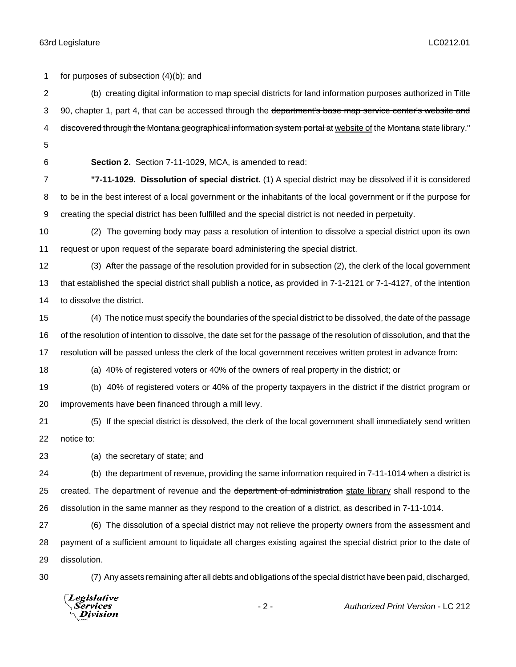for purposes of subsection (4)(b); and (b) creating digital information to map special districts for land information purposes authorized in Title 3 90, chapter 1, part 4, that can be accessed through the department's base map service center's website and 4 discovered through the Montana geographical information system portal at website of the Montana state library." **Section 2.** Section 7-11-1029, MCA, is amended to read: **"7-11-1029. Dissolution of special district.** (1) A special district may be dissolved if it is considered to be in the best interest of a local government or the inhabitants of the local government or if the purpose for creating the special district has been fulfilled and the special district is not needed in perpetuity. (2) The governing body may pass a resolution of intention to dissolve a special district upon its own request or upon request of the separate board administering the special district. (3) After the passage of the resolution provided for in subsection (2), the clerk of the local government that established the special district shall publish a notice, as provided in 7-1-2121 or 7-1-4127, of the intention to dissolve the district. (4) The notice must specify the boundaries of the special district to be dissolved, the date of the passage of the resolution of intention to dissolve, the date set for the passage of the resolution of dissolution, and that the resolution will be passed unless the clerk of the local government receives written protest in advance from: (a) 40% of registered voters or 40% of the owners of real property in the district; or (b) 40% of registered voters or 40% of the property taxpayers in the district if the district program or improvements have been financed through a mill levy. (5) If the special district is dissolved, the clerk of the local government shall immediately send written notice to: (a) the secretary of state; and (b) the department of revenue, providing the same information required in 7-11-1014 when a district is 25 created. The department of revenue and the department of administration state library shall respond to the dissolution in the same manner as they respond to the creation of a district, as described in 7-11-1014. (6) The dissolution of a special district may not relieve the property owners from the assessment and payment of a sufficient amount to liquidate all charges existing against the special district prior to the date of dissolution. (7) Any assets remaining after all debts and obligations of the special district have been paid, discharged, Legislative *Services* - 2 - *Authorized Print Version* - LC 212**Division**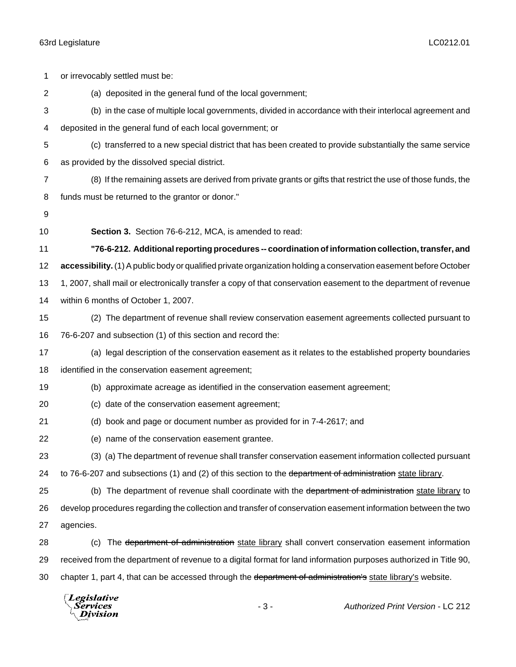| 1              | or irrevocably settled must be:                                                                                   |
|----------------|-------------------------------------------------------------------------------------------------------------------|
| $\overline{2}$ | (a) deposited in the general fund of the local government;                                                        |
| 3              | (b) in the case of multiple local governments, divided in accordance with their interlocal agreement and          |
| 4              | deposited in the general fund of each local government; or                                                        |
| 5              | (c) transferred to a new special district that has been created to provide substantially the same service         |
| 6              | as provided by the dissolved special district.                                                                    |
| $\overline{7}$ | (8) If the remaining assets are derived from private grants or gifts that restrict the use of those funds, the    |
| 8              | funds must be returned to the grantor or donor."                                                                  |
| 9              |                                                                                                                   |
| 10             | Section 3. Section 76-6-212, MCA, is amended to read:                                                             |
| 11             | "76-6-212. Additional reporting procedures -- coordination of information collection, transfer, and               |
| 12             | accessibility. (1) A public body or qualified private organization holding a conservation easement before October |
| 13             | 1, 2007, shall mail or electronically transfer a copy of that conservation easement to the department of revenue  |
| 14             | within 6 months of October 1, 2007.                                                                               |
| 15             | (2) The department of revenue shall review conservation easement agreements collected pursuant to                 |
| 16             | 76-6-207 and subsection (1) of this section and record the:                                                       |
| 17             | (a) legal description of the conservation easement as it relates to the established property boundaries           |
| 18             | identified in the conservation easement agreement;                                                                |
| 19             | (b) approximate acreage as identified in the conservation easement agreement;                                     |
| 20             | (c) date of the conservation easement agreement;                                                                  |
| 21             | (d) book and page or document number as provided for in 7-4-2617; and                                             |
| 22             | (e) name of the conservation easement grantee.                                                                    |
| 23             | (3) (a) The department of revenue shall transfer conservation easement information collected pursuant             |
| 24             | to 76-6-207 and subsections (1) and (2) of this section to the department of administration state library.        |
| 25             | (b) The department of revenue shall coordinate with the department of administration state library to             |
| 26             | develop procedures regarding the collection and transfer of conservation easement information between the two     |
| 27             | agencies.                                                                                                         |
| 28             | The department of administration state library shall convert conservation easement information<br>(c)             |
| 29             | received from the department of revenue to a digital format for land information purposes authorized in Title 90, |
| 30             | chapter 1, part 4, that can be accessed through the department of administration's state library's website.       |
|                | $\Box$ eqislative                                                                                                 |

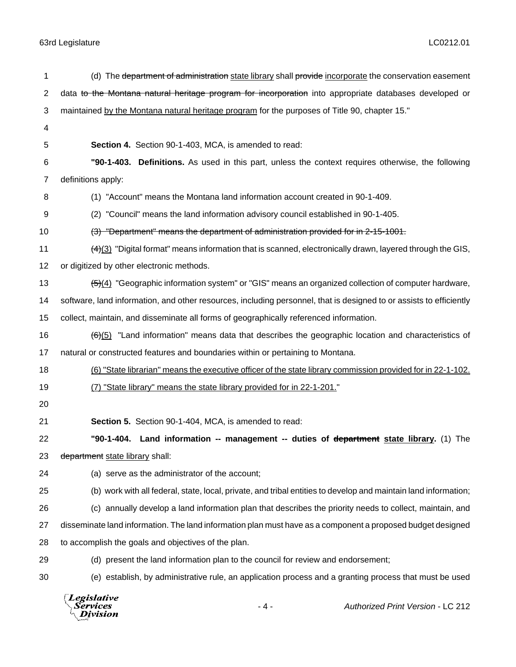| 1  | (d) The department of administration state library shall provide incorporate the conservation easement                |
|----|-----------------------------------------------------------------------------------------------------------------------|
| 2  | data to the Montana natural heritage program for incorporation into appropriate databases developed or                |
| 3  | maintained by the Montana natural heritage program for the purposes of Title 90, chapter 15."                         |
| 4  |                                                                                                                       |
| 5  | Section 4. Section 90-1-403, MCA, is amended to read:                                                                 |
| 6  | "90-1-403. Definitions. As used in this part, unless the context requires otherwise, the following                    |
| 7  | definitions apply:                                                                                                    |
| 8  | (1) "Account" means the Montana land information account created in 90-1-409.                                         |
| 9  | (2) "Council" means the land information advisory council established in 90-1-405.                                    |
| 10 | (3) "Department" means the department of administration provided for in 2-15-1001.                                    |
| 11 | $\frac{(4)(3)}{2}$ "Digital format" means information that is scanned, electronically drawn, layered through the GIS, |
| 12 | or digitized by other electronic methods.                                                                             |
| 13 | $\frac{5}{2}(4)$ "Geographic information system" or "GIS" means an organized collection of computer hardware,         |
| 14 | software, land information, and other resources, including personnel, that is designed to or assists to efficiently   |
| 15 | collect, maintain, and disseminate all forms of geographically referenced information.                                |
| 16 | $\frac{f(t)}{2}$ "Land information" means data that describes the geographic location and characteristics of          |
| 17 | natural or constructed features and boundaries within or pertaining to Montana.                                       |
| 18 | (6) "State librarian" means the executive officer of the state library commission provided for in 22-1-102.           |
| 19 | (7) "State library" means the state library provided for in 22-1-201."                                                |
| 20 |                                                                                                                       |
| 21 | Section 5. Section 90-1-404, MCA, is amended to read:                                                                 |
| 22 | "90-1-404. Land information -- management -- duties of department state library. (1) The                              |
| 23 | department state library shall:                                                                                       |
| 24 | (a) serve as the administrator of the account;                                                                        |
| 25 | (b) work with all federal, state, local, private, and tribal entities to develop and maintain land information;       |
| 26 | (c) annually develop a land information plan that describes the priority needs to collect, maintain, and              |
| 27 | disseminate land information. The land information plan must have as a component a proposed budget designed           |
| 28 | to accomplish the goals and objectives of the plan.                                                                   |
| 29 | (d) present the land information plan to the council for review and endorsement;                                      |
| 30 | (e) establish, by administrative rule, an application process and a granting process that must be used                |

*Legislative*<br>Services<br>*Division*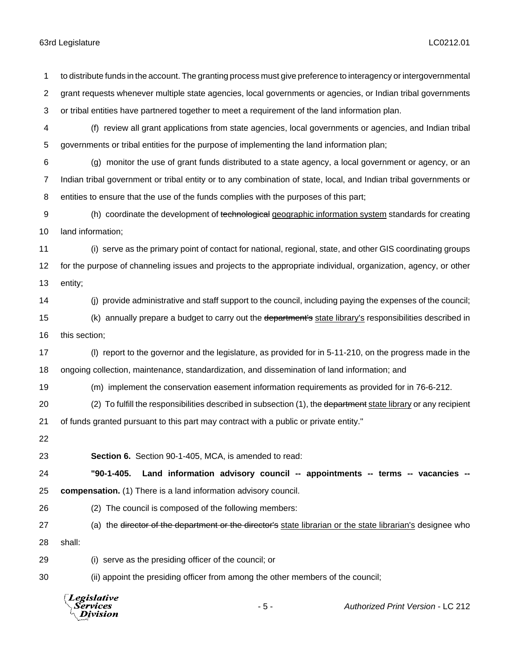| 1  | to distribute funds in the account. The granting process must give preference to interagency or intergovernmental     |
|----|-----------------------------------------------------------------------------------------------------------------------|
| 2  | grant requests whenever multiple state agencies, local governments or agencies, or Indian tribal governments          |
| 3  | or tribal entities have partnered together to meet a requirement of the land information plan.                        |
| 4  | (f) review all grant applications from state agencies, local governments or agencies, and Indian tribal               |
| 5  | governments or tribal entities for the purpose of implementing the land information plan;                             |
| 6  | (g) monitor the use of grant funds distributed to a state agency, a local government or agency, or an                 |
| 7  | Indian tribal government or tribal entity or to any combination of state, local, and Indian tribal governments or     |
| 8  | entities to ensure that the use of the funds complies with the purposes of this part;                                 |
| 9  | (h) coordinate the development of technological geographic information system standards for creating                  |
| 10 | land information;                                                                                                     |
| 11 | (i) serve as the primary point of contact for national, regional, state, and other GIS coordinating groups            |
| 12 | for the purpose of channeling issues and projects to the appropriate individual, organization, agency, or other       |
| 13 | entity;                                                                                                               |
| 14 | (i) provide administrative and staff support to the council, including paying the expenses of the council;            |
| 15 | (k) annually prepare a budget to carry out the department's state library's responsibilities described in             |
| 16 | this section;                                                                                                         |
| 17 | (I) report to the governor and the legislature, as provided for in 5-11-210, on the progress made in the              |
| 18 | ongoing collection, maintenance, standardization, and dissemination of land information; and                          |
| 19 | (m) implement the conservation easement information requirements as provided for in 76-6-212.                         |
| 20 | (2) To fulfill the responsibilities described in subsection (1), the department state library or any recipient        |
| 21 | of funds granted pursuant to this part may contract with a public or private entity."                                 |
| 22 |                                                                                                                       |
| 23 | Section 6. Section 90-1-405, MCA, is amended to read:                                                                 |
| 24 | "90-1-405.<br>Land information advisory council -- appointments -- terms -- vacancies --                              |
| 25 | compensation. (1) There is a land information advisory council.                                                       |
| 26 | (2) The council is composed of the following members:                                                                 |
| 27 | (a) the <del>director of the department or the director's</del> state librarian or the state librarian's designee who |
| 28 | shall:                                                                                                                |
| 29 | (i) serve as the presiding officer of the council; or                                                                 |
| 30 | (ii) appoint the presiding officer from among the other members of the council;                                       |
|    | $\Box$ Legislative                                                                                                    |



- 5 - *Authorized Print Version* - LC 212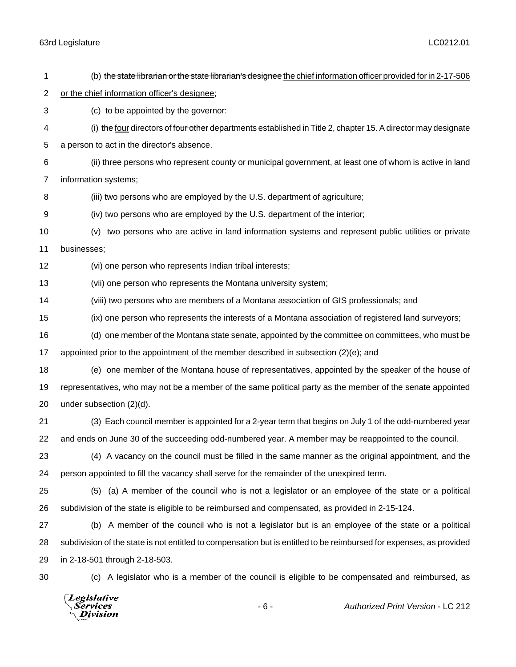| 1              | (b) the state librarian or the state librarian's designee the chief information officer provided for in 2-17-506    |
|----------------|---------------------------------------------------------------------------------------------------------------------|
| 2              | or the chief information officer's designee;                                                                        |
| 3              | (c) to be appointed by the governor:                                                                                |
| 4              | (i) the four directors of four other departments established in Title 2, chapter 15. A director may designate       |
| 5              | a person to act in the director's absence.                                                                          |
| 6              | (ii) three persons who represent county or municipal government, at least one of whom is active in land             |
| $\overline{7}$ | information systems;                                                                                                |
| 8              | (iii) two persons who are employed by the U.S. department of agriculture;                                           |
| 9              | (iv) two persons who are employed by the U.S. department of the interior;                                           |
| 10             | (v) two persons who are active in land information systems and represent public utilities or private                |
| 11             | businesses;                                                                                                         |
| 12             | (vi) one person who represents Indian tribal interests;                                                             |
| 13             | (vii) one person who represents the Montana university system;                                                      |
| 14             | (viii) two persons who are members of a Montana association of GIS professionals; and                               |
| 15             | (ix) one person who represents the interests of a Montana association of registered land surveyors;                 |
| 16             | (d) one member of the Montana state senate, appointed by the committee on committees, who must be                   |
| 17             | appointed prior to the appointment of the member described in subsection (2)(e); and                                |
| 18             | (e) one member of the Montana house of representatives, appointed by the speaker of the house of                    |
| 19             | representatives, who may not be a member of the same political party as the member of the senate appointed          |
| 20             | under subsection (2)(d).                                                                                            |
| 21             | (3) Each council member is appointed for a 2-year term that begins on July 1 of the odd-numbered year               |
| 22             | and ends on June 30 of the succeeding odd-numbered year. A member may be reappointed to the council.                |
| 23             | (4) A vacancy on the council must be filled in the same manner as the original appointment, and the                 |
| 24             | person appointed to fill the vacancy shall serve for the remainder of the unexpired term.                           |
| 25             | (5) (a) A member of the council who is not a legislator or an employee of the state or a political                  |
| 26             | subdivision of the state is eligible to be reimbursed and compensated, as provided in 2-15-124.                     |
| 27             | (b) A member of the council who is not a legislator but is an employee of the state or a political                  |
| 28             | subdivision of the state is not entitled to compensation but is entitled to be reimbursed for expenses, as provided |
| 29             | in 2-18-501 through 2-18-503.                                                                                       |
| 30             | (c) A legislator who is a member of the council is eligible to be compensated and reimbursed, as                    |
|                | $\Box$ originative                                                                                                  |

*Legislative<br>\Services<br>\\_Division*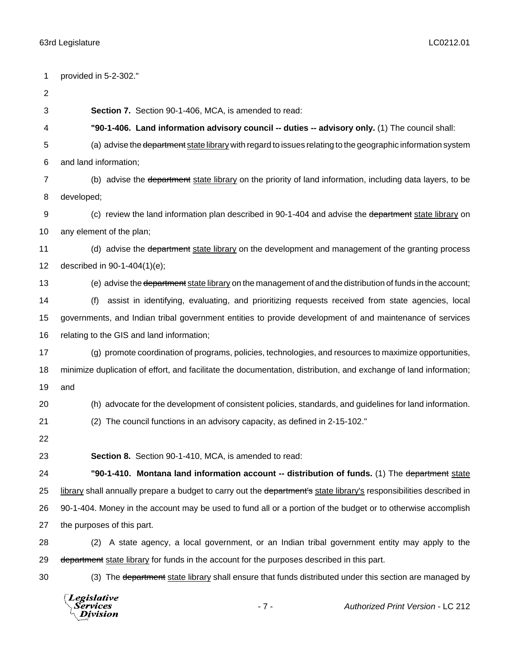| 1              | provided in 5-2-302."                                                                                               |
|----------------|---------------------------------------------------------------------------------------------------------------------|
| $\overline{c}$ |                                                                                                                     |
| 3              | Section 7. Section 90-1-406, MCA, is amended to read:                                                               |
| 4              | "90-1-406. Land information advisory council -- duties -- advisory only. (1) The council shall:                     |
| 5              | (a) advise the department state library with regard to issues relating to the geographic information system         |
| 6              | and land information;                                                                                               |
| $\overline{7}$ | (b) advise the department state library on the priority of land information, including data layers, to be           |
| 8              | developed;                                                                                                          |
| 9              | (c) review the land information plan described in 90-1-404 and advise the department state library on               |
| 10             | any element of the plan;                                                                                            |
| 11             | (d) advise the department state library on the development and management of the granting process                   |
| 12             | described in 90-1-404(1)(e);                                                                                        |
| 13             | (e) advise the department state library on the management of and the distribution of funds in the account;          |
| 14             | assist in identifying, evaluating, and prioritizing requests received from state agencies, local<br>(f)             |
| 15             | governments, and Indian tribal government entities to provide development of and maintenance of services            |
| 16             | relating to the GIS and land information;                                                                           |
| 17             | (g) promote coordination of programs, policies, technologies, and resources to maximize opportunities,              |
| 18             | minimize duplication of effort, and facilitate the documentation, distribution, and exchange of land information;   |
| 19             | and                                                                                                                 |
| 20             | (h) advocate for the development of consistent policies, standards, and guidelines for land information.            |
| 21             | The council functions in an advisory capacity, as defined in 2-15-102."<br>(2)                                      |
| 22             |                                                                                                                     |
| 23             | Section 8. Section 90-1-410, MCA, is amended to read:                                                               |
| 24             | "90-1-410. Montana land information account -- distribution of funds. (1) The department state                      |
| 25             | library shall annually prepare a budget to carry out the department's state library's responsibilities described in |
| 26             | 90-1-404. Money in the account may be used to fund all or a portion of the budget or to otherwise accomplish        |
| 27             | the purposes of this part.                                                                                          |
| 28             | A state agency, a local government, or an Indian tribal government entity may apply to the<br>(2)                   |
| 29             | department state library for funds in the account for the purposes described in this part.                          |
| 30             | (3) The department state library shall ensure that funds distributed under this section are managed by              |
|                |                                                                                                                     |

*Legislative*<br>Services<br>*Division*